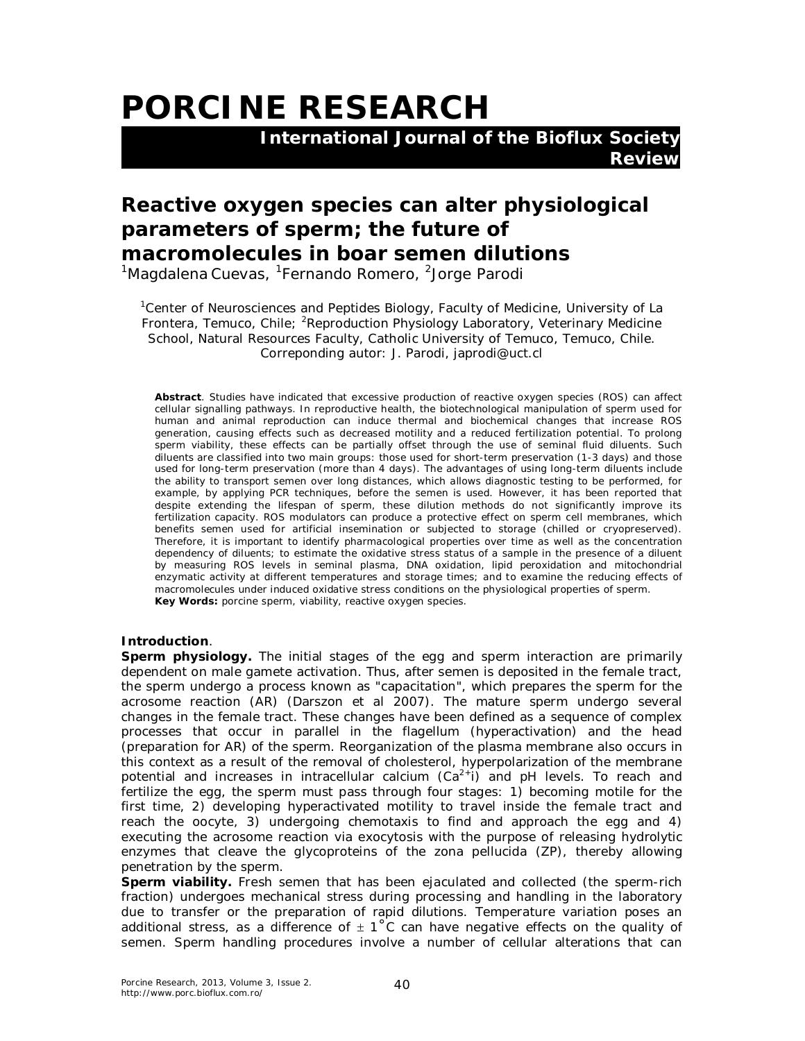## **PORCINE RESEARCH International Journal of the Bioflux Society**

 **Review**

## **Reactive oxygen species can alter physiological parameters of sperm; the future of macromolecules in boar semen dilutions**

<sup>1</sup>Magdalena Cuevas, <sup>1</sup>Fernando Romero, <sup>2</sup>Jorge Parodi

<sup>1</sup>Center of Neurosciences and Peptides Biology, Faculty of Medicine, University of La Frontera, Temuco, Chile; <sup>2</sup>Reproduction Physiology Laboratory, Veterinary Medicine School, Natural Resources Faculty, Catholic University of Temuco, Temuco, Chile. Correponding autor: J. Parodi, japrodi@uct.cl

**Abstract**. Studies have indicated that excessive production of reactive oxygen species (ROS) can affect cellular signalling pathways. In reproductive health, the biotechnological manipulation of sperm used for human and animal reproduction can induce thermal and biochemical changes that increase ROS generation, causing effects such as decreased motility and a reduced fertilization potential. To prolong sperm viability, these effects can be partially offset through the use of seminal fluid diluents. Such diluents are classified into two main groups: those used for short-term preservation (1-3 days) and those used for long-term preservation (more than 4 days). The advantages of using long-term diluents include the ability to transport semen over long distances, which allows diagnostic testing to be performed, for example, by applying PCR techniques, before the semen is used. However, it has been reported that despite extending the lifespan of sperm, these dilution methods do not significantly improve its fertilization capacity. ROS modulators can produce a protective effect on sperm cell membranes, which benefits semen used for artificial insemination or subjected to storage (chilled or cryopreserved). Therefore, it is important to identify pharmacological properties over time as well as the concentration dependency of diluents; to estimate the oxidative stress status of a sample in the presence of a diluent by measuring ROS levels in seminal plasma, DNA oxidation, lipid peroxidation and mitochondrial enzymatic activity at different temperatures and storage times; and to examine the reducing effects of macromolecules under induced oxidative stress conditions on the physiological properties of sperm. **Key Words:** porcine sperm, viability, reactive oxygen species.

## **Introduction**.

**Sperm physiology.** The initial stages of the egg and sperm interaction are primarily dependent on male gamete activation. Thus, after semen is deposited in the female tract, the sperm undergo a process known as "capacitation", which prepares the sperm for the acrosome reaction (AR) (Darszon et al 2007). The mature sperm undergo several changes in the female tract. These changes have been defined as a sequence of complex processes that occur in parallel in the flagellum (hyperactivation) and the head (preparation for AR) of the sperm. Reorganization of the plasma membrane also occurs in this context as a result of the removal of cholesterol, hyperpolarization of the membrane potential and increases in intracellular calcium  $(Ca^2+i)$  and pH levels. To reach and fertilize the egg, the sperm must pass through four stages: 1) becoming motile for the first time, 2) developing hyperactivated motility to travel inside the female tract and reach the oocyte, 3) undergoing chemotaxis to find and approach the egg and 4) executing the acrosome reaction via exocytosis with the purpose of releasing hydrolytic enzymes that cleave the glycoproteins of the zona pellucida (ZP), thereby allowing penetration by the sperm.

*Sperm viability.* Fresh semen that has been ejaculated and collected (the sperm-rich fraction) undergoes mechanical stress during processing and handling in the laboratory due to transfer or the preparation of rapid dilutions. Temperature variation poses an additional stress, as a difference of  $\pm 1^{\circ}$ C can have negative effects on the quality of semen. Sperm handling procedures involve a number of cellular alterations that can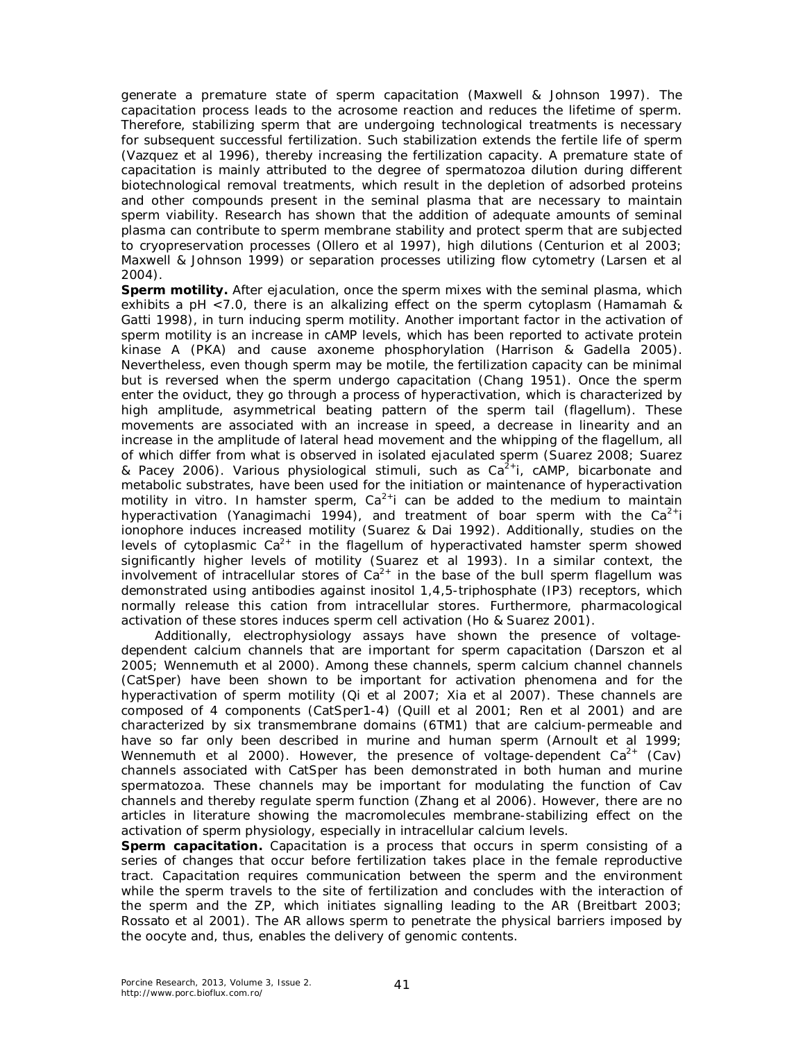generate a premature state of sperm capacitation (Maxwell & Johnson 1997). The capacitation process leads to the acrosome reaction and reduces the lifetime of sperm. Therefore, stabilizing sperm that are undergoing technological treatments is necessary for subsequent successful fertilization. Such stabilization extends the fertile life of sperm (Vazquez et al 1996), thereby increasing the fertilization capacity. A premature state of capacitation is mainly attributed to the degree of spermatozoa dilution during different biotechnological removal treatments, which result in the depletion of adsorbed proteins and other compounds present in the seminal plasma that are necessary to maintain sperm viability. Research has shown that the addition of adequate amounts of seminal plasma can contribute to sperm membrane stability and protect sperm that are subjected to cryopreservation processes (Ollero et al 1997), high dilutions (Centurion et al 2003; Maxwell & Johnson 1999) or separation processes utilizing flow cytometry (Larsen et al 2004).

**Sperm motility.** After ejaculation, once the sperm mixes with the seminal plasma, which exhibits a pH <7.0, there is an alkalizing effect on the sperm cytoplasm (Hamamah & Gatti 1998), in turn inducing sperm motility. Another important factor in the activation of sperm motility is an increase in cAMP levels, which has been reported to activate protein kinase A (PKA) and cause axoneme phosphorylation (Harrison & Gadella 2005). Nevertheless, even though sperm may be motile, the fertilization capacity can be minimal but is reversed when the sperm undergo capacitation (Chang 1951). Once the sperm enter the oviduct, they go through a process of hyperactivation, which is characterized by high amplitude, asymmetrical beating pattern of the sperm tail (flagellum). These movements are associated with an increase in speed, a decrease in linearity and an increase in the amplitude of lateral head movement and the whipping of the flagellum, all of which differ from what is observed in isolated ejaculated sperm (Suarez 2008; Suarez & Pacey 2006). Various physiological stimuli, such as  $Ca<sup>2+</sup>$ i, cAMP, bicarbonate and metabolic substrates, have been used for the initiation or maintenance of hyperactivation motility in vitro. In hamster sperm,  $Ca^{2+}$ i can be added to the medium to maintain hyperactivation (Yanagimachi 1994), and treatment of boar sperm with the  $Ca^{2+}i$ ionophore induces increased motility (Suarez & Dai 1992). Additionally, studies on the levels of cytoplasmic  $Ca^{2+}$  in the flagellum of hyperactivated hamster sperm showed significantly higher levels of motility (Suarez et al 1993). In a similar context, the involvement of intracellular stores of  $Ca^{2+}$  in the base of the bull sperm flagellum was demonstrated using antibodies against inositol 1,4,5-triphosphate (IP3) receptors, which normally release this cation from intracellular stores. Furthermore, pharmacological activation of these stores induces sperm cell activation (Ho & Suarez 2001).

Additionally, electrophysiology assays have shown the presence of voltagedependent calcium channels that are important for sperm capacitation (Darszon et al 2005; Wennemuth et al 2000). Among these channels, sperm calcium channel channels (CatSper) have been shown to be important for activation phenomena and for the hyperactivation of sperm motility (Qi et al 2007; Xia et al 2007). These channels are composed of 4 components (CatSper1-4) (Quill et al 2001; Ren et al 2001) and are characterized by six transmembrane domains (6TM1) that are calcium-permeable and have so far only been described in murine and human sperm (Arnoult et al 1999; Wennemuth et al 2000). However, the presence of voltage-dependent  $Ca^{2+}$  (Cav) channels associated with CatSper has been demonstrated in both human and murine spermatozoa. These channels may be important for modulating the function of Cav channels and thereby regulate sperm function (Zhang et al 2006). However, there are no articles in literature showing the macromolecules membrane-stabilizing effect on the activation of sperm physiology, especially in intracellular calcium levels.

**Sperm capacitation.** Capacitation is a process that occurs in sperm consisting of a series of changes that occur before fertilization takes place in the female reproductive tract. Capacitation requires communication between the sperm and the environment while the sperm travels to the site of fertilization and concludes with the interaction of the sperm and the ZP, which initiates signalling leading to the AR (Breitbart 2003; Rossato et al 2001). The AR allows sperm to penetrate the physical barriers imposed by the oocyte and, thus, enables the delivery of genomic contents.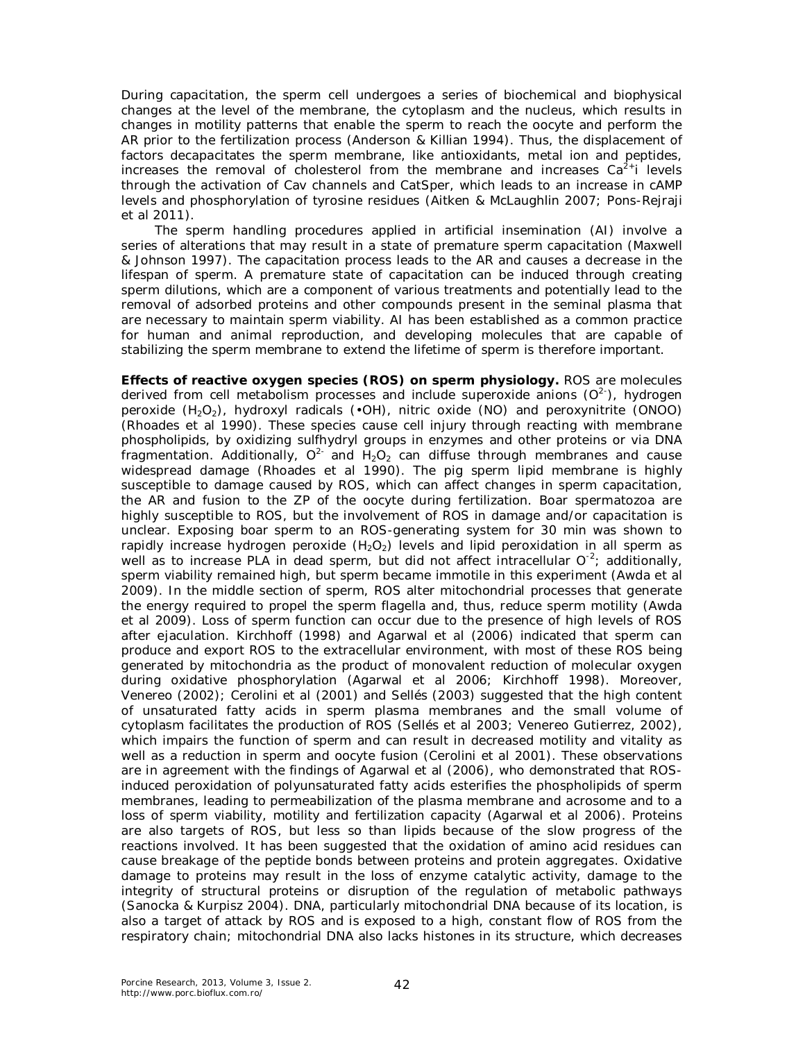During capacitation, the sperm cell undergoes a series of biochemical and biophysical changes at the level of the membrane, the cytoplasm and the nucleus, which results in changes in motility patterns that enable the sperm to reach the oocyte and perform the AR prior to the fertilization process (Anderson & Killian 1994). Thus, the displacement of factors decapacitates the sperm membrane, like antioxidants, metal ion and peptides, increases the removal of cholesterol from the membrane and increases  $Ca<sup>2+</sup>$  levels through the activation of Cav channels and CatSper, which leads to an increase in cAMP levels and phosphorylation of tyrosine residues (Aitken & McLaughlin 2007; Pons-Rejraji et al 2011).

The sperm handling procedures applied in artificial insemination (AI) involve a series of alterations that may result in a state of premature sperm capacitation (Maxwell & Johnson 1997). The capacitation process leads to the AR and causes a decrease in the lifespan of sperm. A premature state of capacitation can be induced through creating sperm dilutions, which are a component of various treatments and potentially lead to the removal of adsorbed proteins and other compounds present in the seminal plasma that are necessary to maintain sperm viability. AI has been established as a common practice for human and animal reproduction, and developing molecules that are capable of stabilizing the sperm membrane to extend the lifetime of sperm is therefore important.

**Effects of reactive oxygen species (ROS) on sperm physiology.** ROS are molecules derived from cell metabolism processes and include superoxide anions  $(O^{2})$ , hydrogen peroxide  $(H_2O_2)$ , hydroxyl radicals  $(•OH)$ , nitric oxide  $(NO)$  and peroxynitrite  $(ONOO)$ (Rhoades et al 1990). These species cause cell injury through reacting with membrane phospholipids, by oxidizing sulfhydryl groups in enzymes and other proteins or via DNA fragmentation. Additionally,  $O^{2-}$  and  $H_2O_2$  can diffuse through membranes and cause widespread damage (Rhoades et al 1990). The pig sperm lipid membrane is highly susceptible to damage caused by ROS, which can affect changes in sperm capacitation, the AR and fusion to the ZP of the oocyte during fertilization. Boar spermatozoa are highly susceptible to ROS, but the involvement of ROS in damage and/or capacitation is unclear. Exposing boar sperm to an ROS-generating system for 30 min was shown to rapidly increase hydrogen peroxide  $(H_2O_2)$  levels and lipid peroxidation in all sperm as well as to increase PLA in dead sperm, but did not affect intracellular  $O^{-2}$ ; additionally, sperm viability remained high, but sperm became immotile in this experiment (Awda et al 2009). In the middle section of sperm, ROS alter mitochondrial processes that generate the energy required to propel the sperm flagella and, thus, reduce sperm motility (Awda et al 2009). Loss of sperm function can occur due to the presence of high levels of ROS after ejaculation. Kirchhoff (1998) and Agarwal et al (2006) indicated that sperm can produce and export ROS to the extracellular environment, with most of these ROS being generated by mitochondria as the product of monovalent reduction of molecular oxygen during oxidative phosphorylation (Agarwal et al 2006; Kirchhoff 1998). Moreover, Venereo (2002); Cerolini et al (2001) and Sellés (2003) suggested that the high content of unsaturated fatty acids in sperm plasma membranes and the small volume of cytoplasm facilitates the production of ROS (Sellés et al 2003; Venereo Gutierrez, 2002), which impairs the function of sperm and can result in decreased motility and vitality as well as a reduction in sperm and oocyte fusion (Cerolini et al 2001). These observations are in agreement with the findings of Agarwal et al (2006), who demonstrated that ROSinduced peroxidation of polyunsaturated fatty acids esterifies the phospholipids of sperm membranes, leading to permeabilization of the plasma membrane and acrosome and to a loss of sperm viability, motility and fertilization capacity (Agarwal et al 2006). Proteins are also targets of ROS, but less so than lipids because of the slow progress of the reactions involved. It has been suggested that the oxidation of amino acid residues can cause breakage of the peptide bonds between proteins and protein aggregates. Oxidative damage to proteins may result in the loss of enzyme catalytic activity, damage to the integrity of structural proteins or disruption of the regulation of metabolic pathways (Sanocka & Kurpisz 2004). DNA, particularly mitochondrial DNA because of its location, is also a target of attack by ROS and is exposed to a high, constant flow of ROS from the respiratory chain; mitochondrial DNA also lacks histones in its structure, which decreases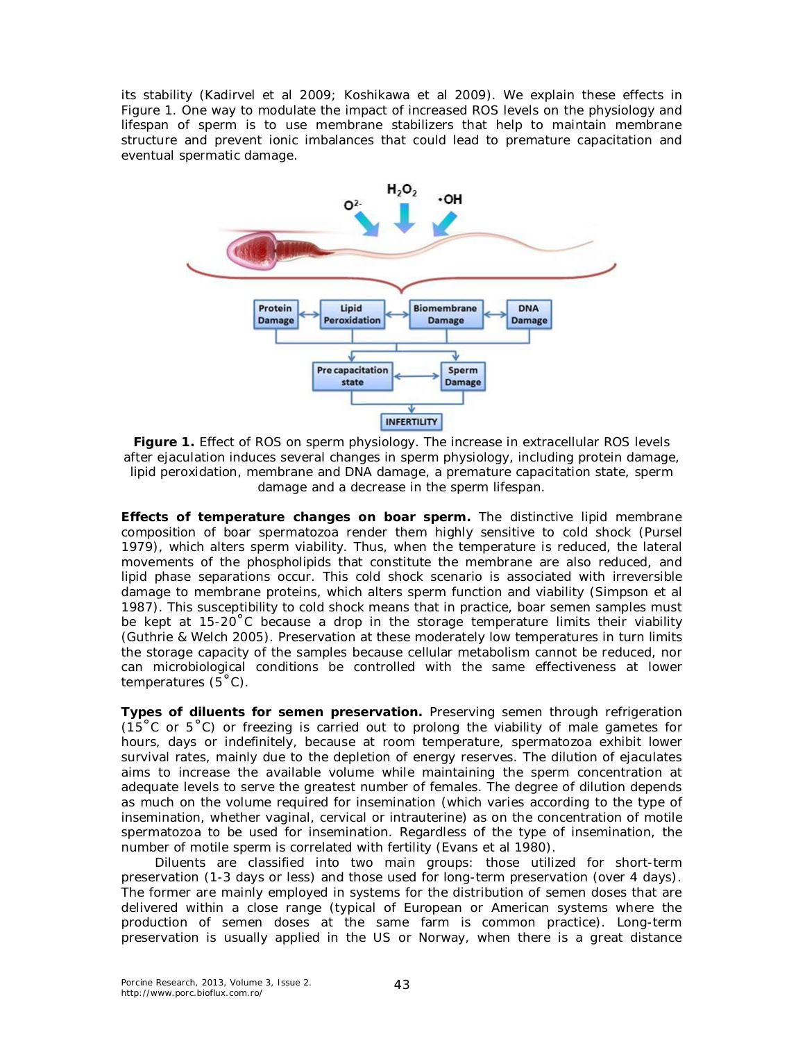its stability (Kadirvel et al 2009; Koshikawa et al 2009). We explain these effects in Figure 1. One way to modulate the impact of increased ROS levels on the physiology and lifespan of sperm is to use membrane stabilizers that help to maintain membrane structure and prevent ionic imbalances that could lead to premature capacitation and eventual spermatic damage.



**Figure 1.** Effect of ROS on sperm physiology. The increase in extracellular ROS levels after ejaculation induces several changes in sperm physiology, including protein damage, lipid peroxidation, membrane and DNA damage, a premature capacitation state, sperm damage and a decrease in the sperm lifespan.

**Effects of temperature changes on boar sperm.** The distinctive lipid membrane composition of boar spermatozoa render them highly sensitive to cold shock (Pursel 1979), which alters sperm viability. Thus, when the temperature is reduced, the lateral movements of the phospholipids that constitute the membrane are also reduced, and lipid phase separations occur. This cold shock scenario is associated with irreversible damage to membrane proteins, which alters sperm function and viability (Simpson et al 1987). This susceptibility to cold shock means that in practice, boar semen samples must be kept at 15-20°C because a drop in the storage temperature limits their viability (Guthrie & Welch 2005). Preservation at these moderately low temperatures in turn limits the storage capacity of the samples because cellular metabolism cannot be reduced, nor can microbiological conditions be controlled with the same effectiveness at lower temperatures  $(5^{\circ}C)$ .

**Types of diluents for semen preservation.** Preserving semen through refrigeration (15 $\degree$ C or 5 $\degree$ C) or freezing is carried out to prolong the viability of male gametes for hours, days or indefinitely, because at room temperature, spermatozoa exhibit lower survival rates, mainly due to the depletion of energy reserves. The dilution of ejaculates aims to increase the available volume while maintaining the sperm concentration at adequate levels to serve the greatest number of females. The degree of dilution depends as much on the volume required for insemination (which varies according to the type of insemination, whether vaginal, cervical or intrauterine) as on the concentration of motile spermatozoa to be used for insemination. Regardless of the type of insemination, the number of motile sperm is correlated with fertility (Evans et al 1980).

Diluents are classified into two main groups: those utilized for short-term preservation (1-3 days or less) and those used for long-term preservation (over 4 days). The former are mainly employed in systems for the distribution of semen doses that are delivered within a close range (typical of European or American systems where the production of semen doses at the same farm is common practice). Long-term preservation is usually applied in the US or Norway, when there is a great distance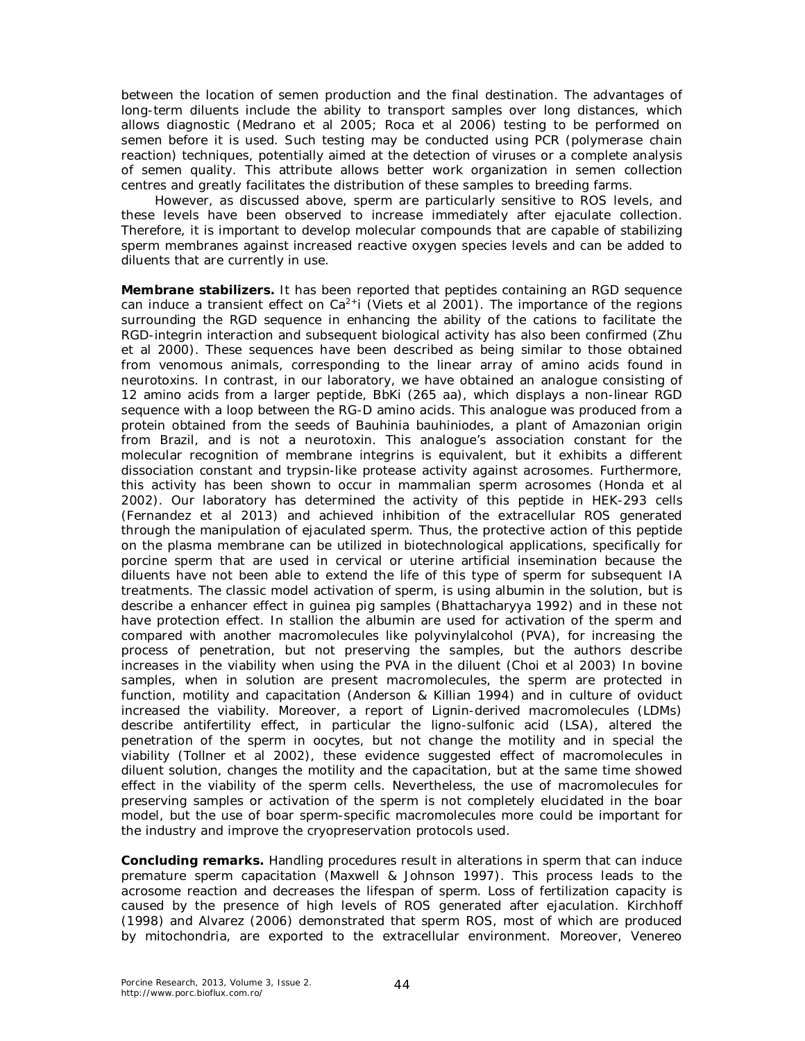between the location of semen production and the final destination. The advantages of long-term diluents include the ability to transport samples over long distances, which allows diagnostic (Medrano et al 2005; Roca et al 2006) testing to be performed on semen before it is used. Such testing may be conducted using PCR (polymerase chain reaction) techniques, potentially aimed at the detection of viruses or a complete analysis of semen quality. This attribute allows better work organization in semen collection centres and greatly facilitates the distribution of these samples to breeding farms.

However, as discussed above, sperm are particularly sensitive to ROS levels, and these levels have been observed to increase immediately after ejaculate collection. Therefore, it is important to develop molecular compounds that are capable of stabilizing sperm membranes against increased reactive oxygen species levels and can be added to diluents that are currently in use.

**Membrane stabilizers.** It has been reported that peptides containing an RGD sequence can induce a transient effect on  $Ca^{2+}i$  (Viets et al 2001). The importance of the regions surrounding the RGD sequence in enhancing the ability of the cations to facilitate the RGD-integrin interaction and subsequent biological activity has also been confirmed (Zhu et al 2000). These sequences have been described as being similar to those obtained from venomous animals, corresponding to the linear array of amino acids found in neurotoxins. In contrast, in our laboratory, we have obtained an analogue consisting of 12 amino acids from a larger peptide, BbKi (265 aa), which displays a non-linear RGD sequence with a loop between the RG-D amino acids. This analogue was produced from a protein obtained from the seeds of *Bauhinia bauhiniodes*, a plant of Amazonian origin from Brazil, and is not a neurotoxin. This analogue's association constant for the molecular recognition of membrane integrins is equivalent, but it exhibits a different dissociation constant and trypsin-like protease activity against acrosomes. Furthermore, this activity has been shown to occur in mammalian sperm acrosomes (Honda et al 2002). Our laboratory has determined the activity of this peptide in HEK-293 cells (Fernandez et al 2013) and achieved inhibition of the extracellular ROS generated through the manipulation of ejaculated sperm. Thus, the protective action of this peptide on the plasma membrane can be utilized in biotechnological applications, specifically for porcine sperm that are used in cervical or uterine artificial insemination because the diluents have not been able to extend the life of this type of sperm for subsequent IA treatments. The classic model activation of sperm, is using albumin in the solution, but is describe a enhancer effect in guinea pig samples (Bhattacharyya 1992) and in these not have protection effect. In stallion the albumin are used for activation of the sperm and compared with another macromolecules like polyvinylalcohol (PVA), for increasing the process of penetration, but not preserving the samples, but the authors describe increases in the viability when using the PVA in the diluent (Choi et al 2003) In bovine samples, when in solution are present macromolecules, the sperm are protected in function, motility and capacitation (Anderson & Killian 1994) and in culture of oviduct increased the viability. Moreover, a report of Lignin-derived macromolecules (LDMs) describe antifertility effect, in particular the ligno-sulfonic acid (LSA), altered the penetration of the sperm in oocytes, but not change the motility and in special the viability (Tollner et al 2002), these evidence suggested effect of macromolecules in diluent solution, changes the motility and the capacitation, but at the same time showed effect in the viability of the sperm cells. Nevertheless, the use of macromolecules for preserving samples or activation of the sperm is not completely elucidated in the boar model, but the use of boar sperm-specific macromolecules more could be important for the industry and improve the cryopreservation protocols used.

**Concluding remarks.** Handling procedures result in alterations in sperm that can induce premature sperm capacitation (Maxwell & Johnson 1997). This process leads to the acrosome reaction and decreases the lifespan of sperm. Loss of fertilization capacity is caused by the presence of high levels of ROS generated after ejaculation. Kirchhoff (1998) and Alvarez (2006) demonstrated that sperm ROS, most of which are produced by mitochondria, are exported to the extracellular environment. Moreover, Venereo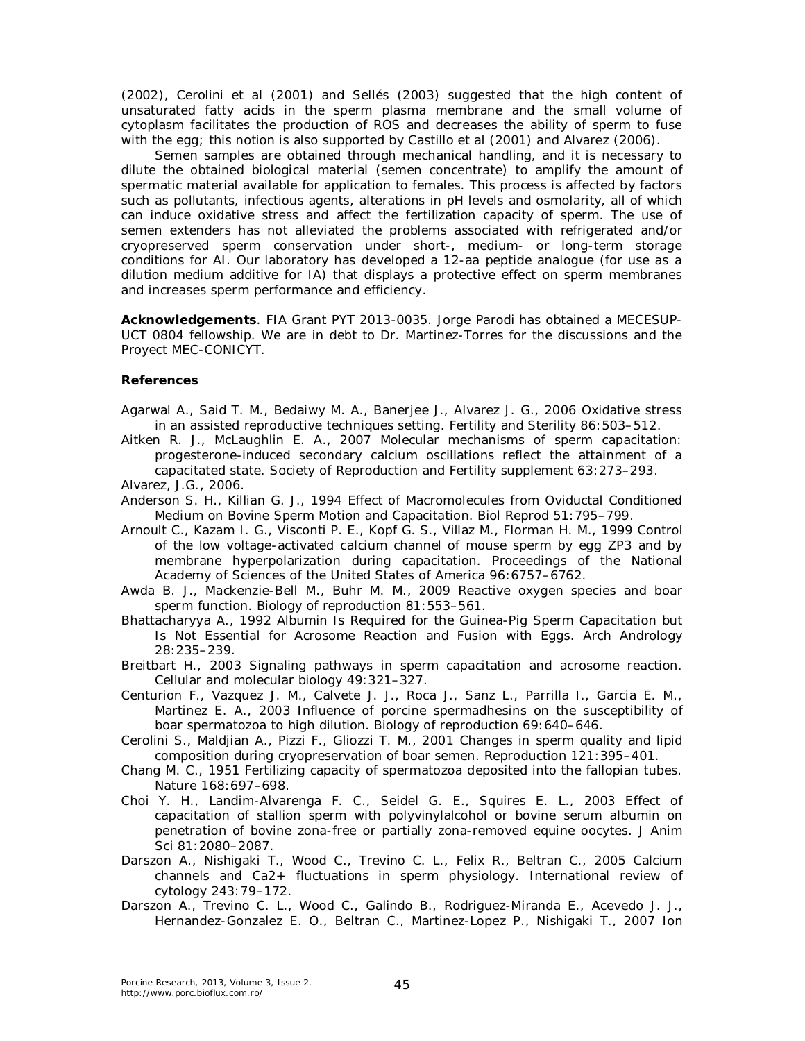(2002), Cerolini et al (2001) and Sellés (2003) suggested that the high content of unsaturated fatty acids in the sperm plasma membrane and the small volume of cytoplasm facilitates the production of ROS and decreases the ability of sperm to fuse with the egg; this notion is also supported by Castillo et al (2001) and Alvarez (2006).

Semen samples are obtained through mechanical handling, and it is necessary to dilute the obtained biological material (semen concentrate) to amplify the amount of spermatic material available for application to females. This process is affected by factors such as pollutants, infectious agents, alterations in pH levels and osmolarity, all of which can induce oxidative stress and affect the fertilization capacity of sperm. The use of semen extenders has not alleviated the problems associated with refrigerated and/or cryopreserved sperm conservation under short-, medium- or long-term storage conditions for AI. Our laboratory has developed a 12-aa peptide analogue (for use as a dilution medium additive for IA) that displays a protective effect on sperm membranes and increases sperm performance and efficiency.

**Acknowledgements**. FIA Grant PYT 2013-0035. Jorge Parodi has obtained a MECESUP-UCT 0804 fellowship. We are in debt to Dr. Martinez-Torres for the discussions and the Proyect MEC-CONICYT.

## **References**

- Agarwal A., Said T. M., Bedaiwy M. A., Banerjee J., Alvarez J. G., 2006 Oxidative stress in an assisted reproductive techniques setting. Fertility and Sterility 86:503–512.
- Aitken R. J., McLaughlin E. A., 2007 Molecular mechanisms of sperm capacitation: progesterone-induced secondary calcium oscillations reflect the attainment of a capacitated state. Society of Reproduction and Fertility supplement 63:273–293. Alvarez, J.G., 2006.
- Anderson S. H., Killian G. J., 1994 Effect of Macromolecules from Oviductal Conditioned Medium on Bovine Sperm Motion and Capacitation. Biol Reprod 51:795–799.
- Arnoult C., Kazam I. G., Visconti P. E., Kopf G. S., Villaz M., Florman H. M., 1999 Control of the low voltage-activated calcium channel of mouse sperm by egg ZP3 and by membrane hyperpolarization during capacitation. Proceedings of the National Academy of Sciences of the United States of America 96:6757–6762.
- Awda B. J., Mackenzie-Bell M., Buhr M. M., 2009 Reactive oxygen species and boar sperm function. Biology of reproduction 81:553–561.
- Bhattacharyya A., 1992 Albumin Is Required for the Guinea-Pig Sperm Capacitation but Is Not Essential for Acrosome Reaction and Fusion with Eggs. Arch Andrology 28:235–239.
- Breitbart H., 2003 Signaling pathways in sperm capacitation and acrosome reaction. Cellular and molecular biology 49:321–327.
- Centurion F., Vazquez J. M., Calvete J. J., Roca J., Sanz L., Parrilla I., Garcia E. M., Martinez E. A., 2003 Influence of porcine spermadhesins on the susceptibility of boar spermatozoa to high dilution. Biology of reproduction 69:640–646.
- Cerolini S., Maldjian A., Pizzi F., Gliozzi T. M., 2001 Changes in sperm quality and lipid composition during cryopreservation of boar semen. Reproduction 121:395–401.
- Chang M. C., 1951 Fertilizing capacity of spermatozoa deposited into the fallopian tubes. Nature 168:697–698.
- Choi Y. H., Landim-Alvarenga F. C., Seidel G. E., Squires E. L., 2003 Effect of capacitation of stallion sperm with polyvinylalcohol or bovine serum albumin on penetration of bovine zona-free or partially zona-removed equine oocytes. J Anim Sci 81:2080–2087.
- Darszon A., Nishigaki T., Wood C., Trevino C. L., Felix R., Beltran C., 2005 Calcium channels and Ca2+ fluctuations in sperm physiology. International review of cytology 243:79–172.
- Darszon A., Trevino C. L., Wood C., Galindo B., Rodriguez-Miranda E., Acevedo J. J., Hernandez-Gonzalez E. O., Beltran C., Martinez-Lopez P., Nishigaki T., 2007 Ion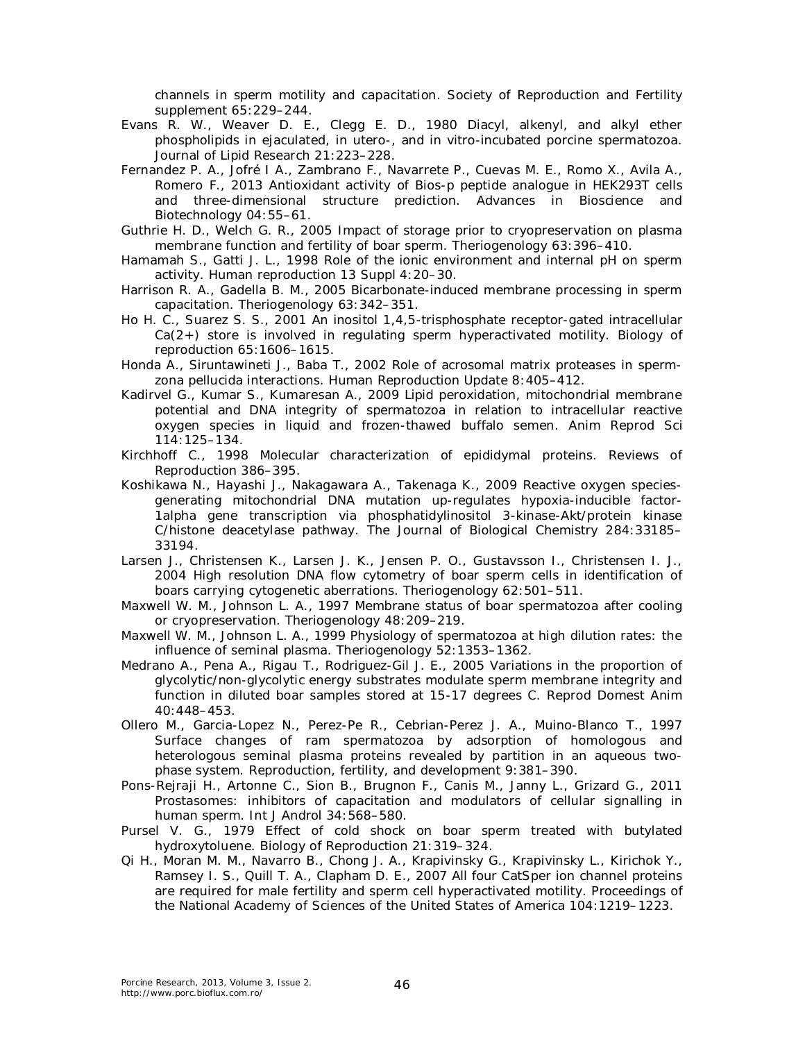channels in sperm motility and capacitation. Society of Reproduction and Fertility supplement 65:229–244.

- Evans R. W., Weaver D. E., Clegg E. D., 1980 Diacyl, alkenyl, and alkyl ether phospholipids in ejaculated, in utero-, and in vitro-incubated porcine spermatozoa. Journal of Lipid Research 21:223–228.
- Fernandez P. A., Jofré I A., Zambrano F., Navarrete P., Cuevas M. E., Romo X., Avila A., Romero F., 2013 Antioxidant activity of Bios-p peptide analogue in HEK293T cells and three-dimensional structure prediction. Advances in Bioscience and Biotechnology 04:55–61.
- Guthrie H. D., Welch G. R., 2005 Impact of storage prior to cryopreservation on plasma membrane function and fertility of boar sperm. Theriogenology 63:396–410.
- Hamamah S., Gatti J. L., 1998 Role of the ionic environment and internal pH on sperm activity. Human reproduction 13 Suppl 4:20–30.
- Harrison R. A., Gadella B. M., 2005 Bicarbonate-induced membrane processing in sperm capacitation. Theriogenology 63:342–351.
- Ho H. C., Suarez S. S., 2001 An inositol 1,4,5-trisphosphate receptor-gated intracellular  $Ca(2+)$  store is involved in regulating sperm hyperactivated motility. Biology of reproduction 65:1606–1615.
- Honda A., Siruntawineti J., Baba T., 2002 Role of acrosomal matrix proteases in spermzona pellucida interactions. Human Reproduction Update 8:405–412.
- Kadirvel G., Kumar S., Kumaresan A., 2009 Lipid peroxidation, mitochondrial membrane potential and DNA integrity of spermatozoa in relation to intracellular reactive oxygen species in liquid and frozen-thawed buffalo semen. Anim Reprod Sci 114:125–134.
- Kirchhoff C., 1998 Molecular characterization of epididymal proteins. Reviews of Reproduction 386–395.
- Koshikawa N., Hayashi J., Nakagawara A., Takenaga K., 2009 Reactive oxygen speciesgenerating mitochondrial DNA mutation up-regulates hypoxia-inducible factor-1alpha gene transcription via phosphatidylinositol 3-kinase-Akt/protein kinase C/histone deacetylase pathway. The Journal of Biological Chemistry 284:33185– 33194.
- Larsen J., Christensen K., Larsen J. K., Jensen P. O., Gustavsson I., Christensen I. J., 2004 High resolution DNA flow cytometry of boar sperm cells in identification of boars carrying cytogenetic aberrations. Theriogenology 62:501–511.
- Maxwell W. M., Johnson L. A., 1997 Membrane status of boar spermatozoa after cooling or cryopreservation. Theriogenology 48:209–219.
- Maxwell W. M., Johnson L. A., 1999 Physiology of spermatozoa at high dilution rates: the influence of seminal plasma. Theriogenology 52:1353–1362.
- Medrano A., Pena A., Rigau T., Rodriguez-Gil J. E., 2005 Variations in the proportion of glycolytic/non-glycolytic energy substrates modulate sperm membrane integrity and function in diluted boar samples stored at 15-17 degrees C. Reprod Domest Anim 40:448–453.
- Ollero M., Garcia-Lopez N., Perez-Pe R., Cebrian-Perez J. A., Muino-Blanco T., 1997 Surface changes of ram spermatozoa by adsorption of homologous and heterologous seminal plasma proteins revealed by partition in an aqueous twophase system. Reproduction, fertility, and development 9:381–390.
- Pons-Rejraji H., Artonne C., Sion B., Brugnon F., Canis M., Janny L., Grizard G., 2011 Prostasomes: inhibitors of capacitation and modulators of cellular signalling in human sperm. Int J Androl 34:568–580.
- Pursel V. G., 1979 Effect of cold shock on boar sperm treated with butylated hydroxytoluene. Biology of Reproduction 21:319–324.
- Qi H., Moran M. M., Navarro B., Chong J. A., Krapivinsky G., Krapivinsky L., Kirichok Y., Ramsey I. S., Quill T. A., Clapham D. E., 2007 All four CatSper ion channel proteins are required for male fertility and sperm cell hyperactivated motility. Proceedings of the National Academy of Sciences of the United States of America 104:1219–1223.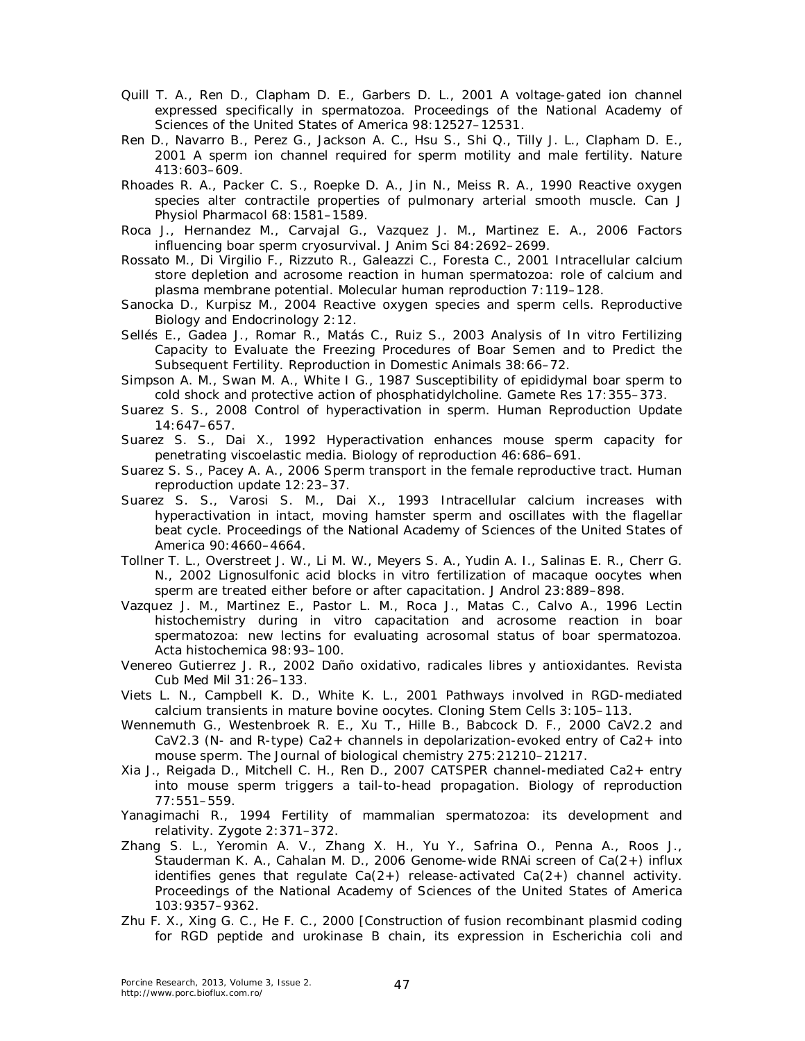- Quill T. A., Ren D., Clapham D. E., Garbers D. L., 2001 A voltage-gated ion channel expressed specifically in spermatozoa. Proceedings of the National Academy of Sciences of the United States of America 98:12527–12531.
- Ren D., Navarro B., Perez G., Jackson A. C., Hsu S., Shi Q., Tilly J. L., Clapham D. E., 2001 A sperm ion channel required for sperm motility and male fertility. Nature 413:603–609.
- Rhoades R. A., Packer C. S., Roepke D. A., Jin N., Meiss R. A., 1990 Reactive oxygen species alter contractile properties of pulmonary arterial smooth muscle. Can J Physiol Pharmacol 68:1581-1589.
- Roca J., Hernandez M., Carvajal G., Vazquez J. M., Martinez E. A., 2006 Factors influencing boar sperm cryosurvival. J Anim Sci 84:2692–2699.
- Rossato M., Di Virgilio F., Rizzuto R., Galeazzi C., Foresta C., 2001 Intracellular calcium store depletion and acrosome reaction in human spermatozoa: role of calcium and plasma membrane potential. Molecular human reproduction 7:119–128.
- Sanocka D., Kurpisz M., 2004 Reactive oxygen species and sperm cells. Reproductive Biology and Endocrinology 2:12.
- Sellés E., Gadea J., Romar R., Matás C., Ruiz S., 2003 Analysis of In vitro Fertilizing Capacity to Evaluate the Freezing Procedures of Boar Semen and to Predict the Subsequent Fertility. Reproduction in Domestic Animals 38:66–72.
- Simpson A. M., Swan M. A., White I G., 1987 Susceptibility of epididymal boar sperm to cold shock and protective action of phosphatidylcholine. Gamete Res 17:355–373.
- Suarez S. S., 2008 Control of hyperactivation in sperm. Human Reproduction Update 14:647–657.
- Suarez S. S., Dai X., 1992 Hyperactivation enhances mouse sperm capacity for penetrating viscoelastic media. Biology of reproduction 46:686–691.
- Suarez S. S., Pacey A. A., 2006 Sperm transport in the female reproductive tract. Human reproduction update 12:23–37.
- Suarez S. S., Varosi S. M., Dai X., 1993 Intracellular calcium increases with hyperactivation in intact, moving hamster sperm and oscillates with the flagellar beat cycle. Proceedings of the National Academy of Sciences of the United States of America 90:4660–4664.
- Tollner T. L., Overstreet J. W., Li M. W., Meyers S. A., Yudin A. I., Salinas E. R., Cherr G. N., 2002 Lignosulfonic acid blocks in vitro fertilization of macaque oocytes when sperm are treated either before or after capacitation. J Androl 23:889–898.
- Vazquez J. M., Martinez E., Pastor L. M., Roca J., Matas C., Calvo A., 1996 Lectin histochemistry during in vitro capacitation and acrosome reaction in boar spermatozoa: new lectins for evaluating acrosomal status of boar spermatozoa. Acta histochemica 98:93–100.
- Venereo Gutierrez J. R., 2002 Daño oxidativo, radicales libres y antioxidantes. Revista Cub Med Mil 31:26–133.
- Viets L. N., Campbell K. D., White K. L., 2001 Pathways involved in RGD-mediated calcium transients in mature bovine oocytes. Cloning Stem Cells 3:105–113.
- Wennemuth G., Westenbroek R. E., Xu T., Hille B., Babcock D. F., 2000 CaV2.2 and CaV2.3 (N- and R-type) Ca2+ channels in depolarization-evoked entry of Ca2+ into mouse sperm. The Journal of biological chemistry 275:21210–21217.
- Xia J., Reigada D., Mitchell C. H., Ren D., 2007 CATSPER channel-mediated Ca2+ entry into mouse sperm triggers a tail-to-head propagation. Biology of reproduction 77:551–559.
- Yanagimachi R., 1994 Fertility of mammalian spermatozoa: its development and relativity. Zygote 2:371–372.
- Zhang S. L., Yeromin A. V., Zhang X. H., Yu Y., Safrina O., Penna A., Roos J., Stauderman K. A., Cahalan M. D., 2006 Genome-wide RNAi screen of Ca(2+) influx identifies genes that regulate  $Ca(2+)$  release-activated  $Ca(2+)$  channel activity. Proceedings of the National Academy of Sciences of the United States of America 103:9357–9362.
- Zhu F. X., Xing G. C., He F. C., 2000 [Construction of fusion recombinant plasmid coding for RGD peptide and urokinase B chain, its expression in Escherichia coli and